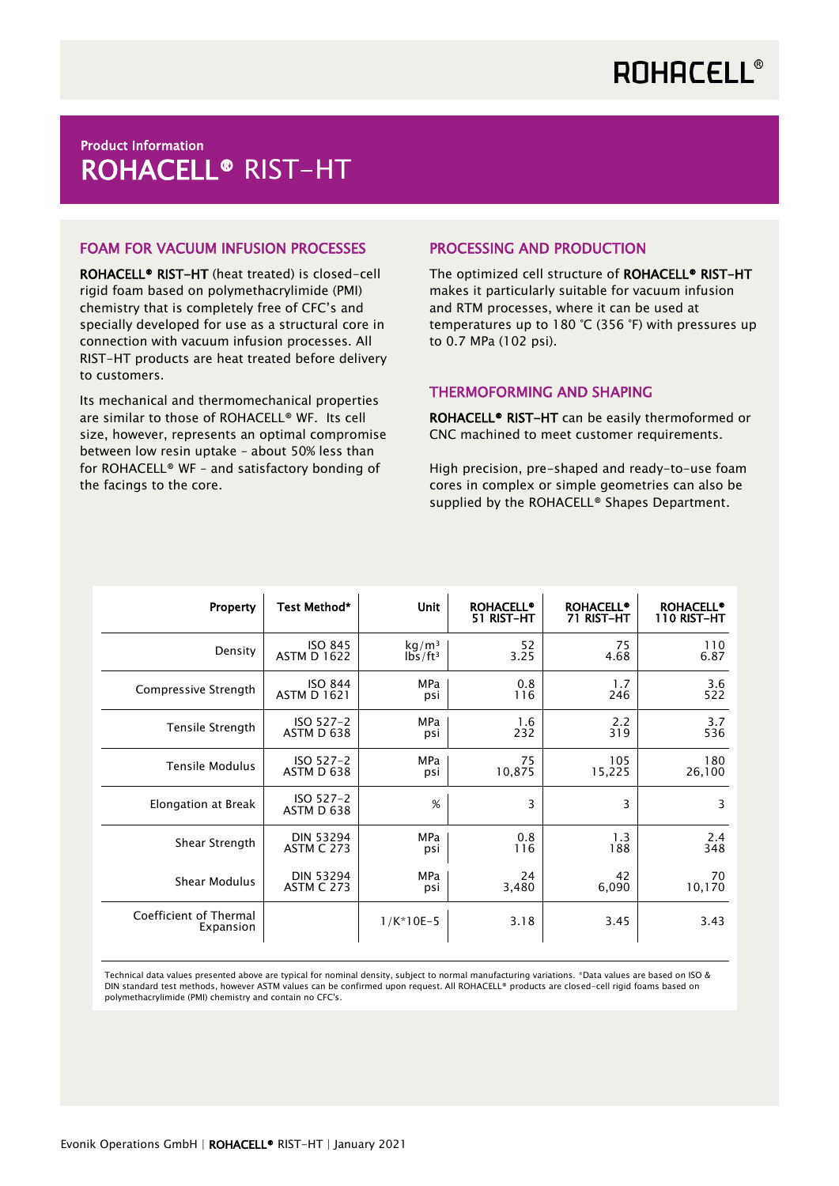## Product Information ROHACELL® RIST-HT

### FOAM FOR VACUUM INFUSION PROCESSES

ROHACELL® RIST-HT (heat treated) is closed-cell rigid foam based on polymethacrylimide (PMI) chemistry that is completely free of CFC's and specially developed for use as a structural core in connection with vacuum infusion processes. All RIST-HT products are heat treated before delivery to customers.

Its mechanical and thermomechanical properties are similar to those of ROHACELL® WF. Its cell size, however, represents an optimal compromise between low resin uptake – about 50% less than for ROHACELL® WF – and satisfactory bonding of the facings to the core.

### PROCESSING AND PRODUCTION

The optimized cell structure of ROHACELL® RIST-HT makes it particularly suitable for vacuum infusion and RTM processes, where it can be used at temperatures up to 180 °C (356 °F) with pressures up to 0.7 MPa (102 psi).

### THERMOFORMING AND SHAPING

ROHACELL® RIST-HT can be easily thermoformed or CNC machined to meet customer requirements.

High precision, pre-shaped and ready-to-use foam cores in complex or simple geometries can also be supplied by the ROHACELL® Shapes Department.

| Property                            | Test Method*            | <b>Unit</b>       | <b>ROHACELL®</b><br>51 RIST-HT | <b>ROHACELL®</b><br>71 RIST-HT | <b>ROHACELL®</b><br>110 RIST-HT |
|-------------------------------------|-------------------------|-------------------|--------------------------------|--------------------------------|---------------------------------|
| Density                             | <b>ISO 845</b>          | kg/m <sup>3</sup> | 52                             | 75                             | 110                             |
|                                     | <b>ASTM D 1622</b>      | $1b5/ft^3$        | 3.25                           | 4.68                           | 6.87                            |
| Compressive Strength                | <b>ISO 844</b>          | <b>MPa</b>        | 0.8                            | 1.7                            | 3.6                             |
|                                     | <b>ASTM D 1621</b>      | psi               | 116                            | 246                            | 522                             |
| Tensile Strength                    | ISO 527-2               | <b>MPa</b>        | 1.6                            | 2.2                            | 3.7                             |
|                                     | ASTM D 638              | psi               | 232                            | 319                            | 536                             |
| <b>Tensile Modulus</b>              | ISO 527-2               | <b>MPa</b>        | 75                             | 105                            | 180                             |
|                                     | ASTM D 638              | psi               | 10,875                         | 15,225                         | 26,100                          |
| Elongation at Break                 | ISO 527-2<br>ASTM D 638 | %                 | 3                              | 3                              | 3                               |
| Shear Strength                      | <b>DIN 53294</b>        | <b>MPa</b>        | 0.8                            | 1.3                            | 2.4                             |
|                                     | <b>ASTM C 273</b>       | psi               | 116                            | 188                            | 348                             |
| Shear Modulus                       | <b>DIN 53294</b>        | <b>MPa</b>        | 24                             | 42                             | 70                              |
|                                     | <b>ASTM C 273</b>       | psi               | 3,480                          | 6,090                          | 10,170                          |
| Coefficient of Thermal<br>Expansion |                         | $1/K*10E-5$       | 3.18                           | 3.45                           | 3.43                            |

Technical data values presented above are typical for nominal density, subject to normal manufacturing variations. \*Data values are based on ISO & DIN standard test methods, however ASTM values can be confirmed upon request. All ROHACELL® products are closed-cell rigid foams based on polymethacrylimide (PMI) chemistry and contain no CFC's.